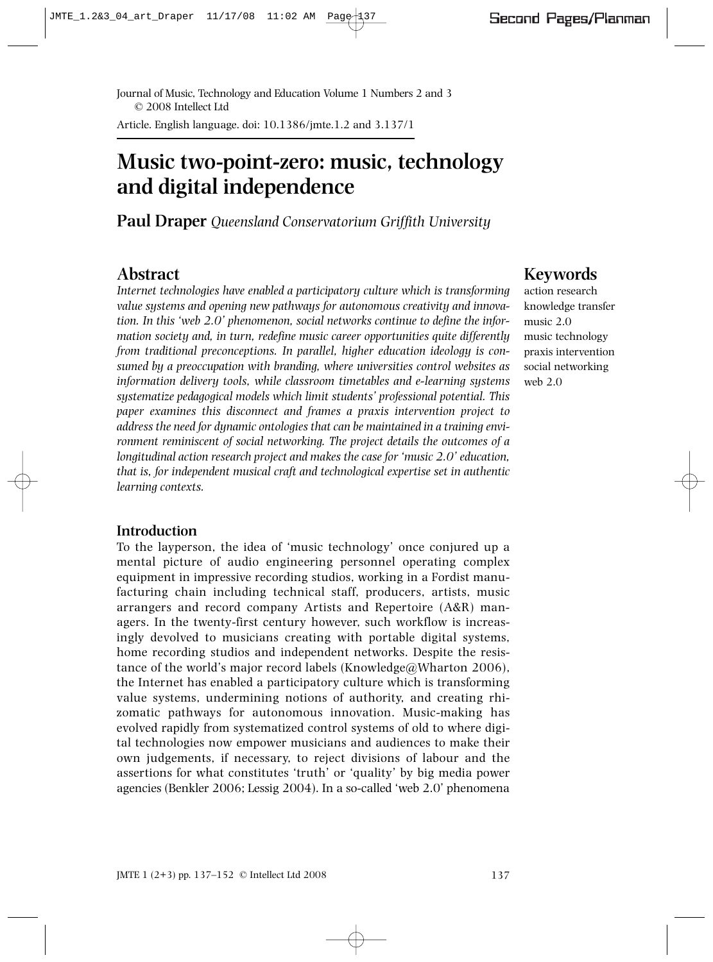Article. English language. doi: 10.1386/jmte.1.2 and 3.137/1

# **Music two-point-zero: music, technology and digital independence**

**Paul Draper** *Queensland Conservatorium Griffith University*

# **Abstract**

*Internet technologies have enabled a participatory culture which is transforming value systems and opening new pathways for autonomous creativity and innovation. In this 'web 2.0' phenomenon, social networks continue to define the information society and, in turn, redefine music career opportunities quite differently from traditional preconceptions. In parallel, higher education ideology is consumed by a preoccupation with branding, where universities control websites as information delivery tools, while classroom timetables and e-learning systems systematize pedagogical models which limit students' professional potential. This paper examines this disconnect and frames a praxis intervention project to address the need for dynamic ontologies that can be maintained in a training environment reminiscent of social networking. The project details the outcomes of a longitudinal action research project and makes the case for 'music 2.0' education, that is, for independent musical craft and technological expertise set in authentic learning contexts.*

# **Introduction**

To the layperson, the idea of 'music technology' once conjured up a mental picture of audio engineering personnel operating complex equipment in impressive recording studios, working in a Fordist manufacturing chain including technical staff, producers, artists, music arrangers and record company Artists and Repertoire (A&R) managers. In the twenty-first century however, such workflow is increasingly devolved to musicians creating with portable digital systems, home recording studios and independent networks. Despite the resistance of the world's major record labels (Knowledge@Wharton 2006), the Internet has enabled a participatory culture which is transforming value systems, undermining notions of authority, and creating rhizomatic pathways for autonomous innovation. Music-making has evolved rapidly from systematized control systems of old to where digital technologies now empower musicians and audiences to make their own judgements, if necessary, to reject divisions of labour and the assertions for what constitutes 'truth' or 'quality' by big media power agencies (Benkler 2006; Lessig 2004). In a so-called 'web 2.0' phenomena

# **Keywords**

action research knowledge transfer music 2.0 music technology praxis intervention social networking web 2.0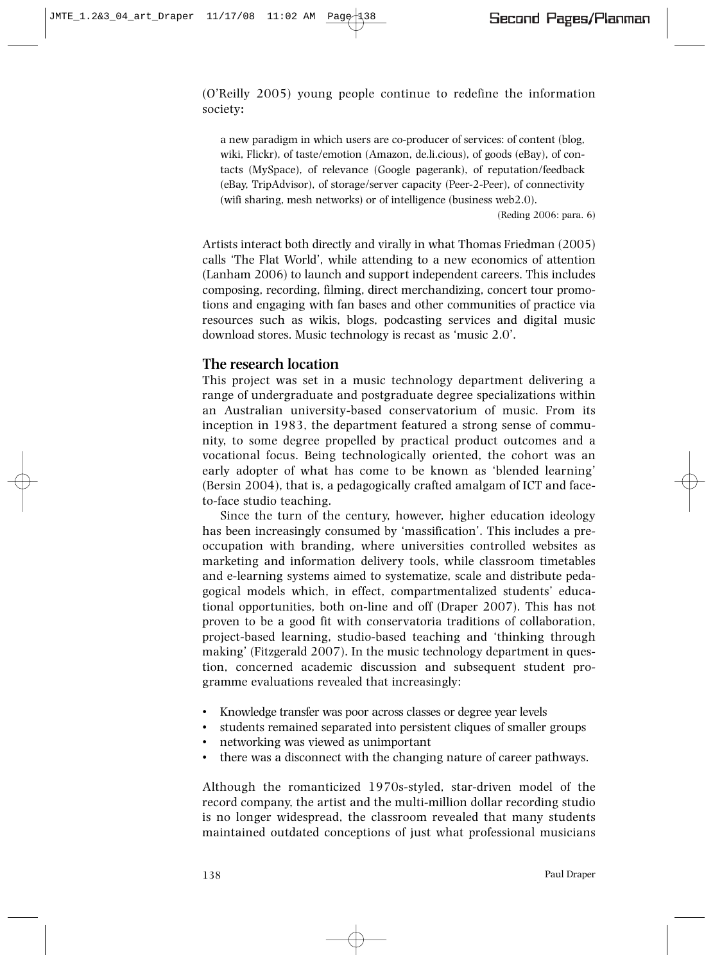## (O'Reilly 2005) young people continue to redefine the information society**:**

a new paradigm in which users are co-producer of services: of content (blog, wiki, Flickr), of taste/emotion (Amazon, de.li.cious), of goods (eBay), of contacts (MySpace), of relevance (Google pagerank), of reputation/feedback (eBay, TripAdvisor), of storage/server capacity (Peer-2-Peer), of connectivity (wifi sharing, mesh networks) or of intelligence (business web2.0).

(Reding 2006: para. 6)

Artists interact both directly and virally in what Thomas Friedman (2005) calls 'The Flat World', while attending to a new economics of attention (Lanham 2006) to launch and support independent careers. This includes composing, recording, filming, direct merchandizing, concert tour promotions and engaging with fan bases and other communities of practice via resources such as wikis, blogs, podcasting services and digital music download stores. Music technology is recast as 'music 2.0'.

## **The research location**

This project was set in a music technology department delivering a range of undergraduate and postgraduate degree specializations within an Australian university-based conservatorium of music. From its inception in 1983, the department featured a strong sense of community, to some degree propelled by practical product outcomes and a vocational focus. Being technologically oriented, the cohort was an early adopter of what has come to be known as 'blended learning' (Bersin 2004), that is, a pedagogically crafted amalgam of ICT and faceto-face studio teaching.

Since the turn of the century, however, higher education ideology has been increasingly consumed by 'massification'. This includes a preoccupation with branding, where universities controlled websites as marketing and information delivery tools, while classroom timetables and e-learning systems aimed to systematize, scale and distribute pedagogical models which, in effect, compartmentalized students' educational opportunities, both on-line and off (Draper 2007). This has not proven to be a good fit with conservatoria traditions of collaboration, project-based learning, studio-based teaching and 'thinking through making' (Fitzgerald 2007). In the music technology department in question, concerned academic discussion and subsequent student programme evaluations revealed that increasingly:

- Knowledge transfer was poor across classes or degree year levels
- students remained separated into persistent cliques of smaller groups
- networking was viewed as unimportant
- there was a disconnect with the changing nature of career pathways.

Although the romanticized 1970s-styled, star-driven model of the record company, the artist and the multi-million dollar recording studio is no longer widespread, the classroom revealed that many students maintained outdated conceptions of just what professional musicians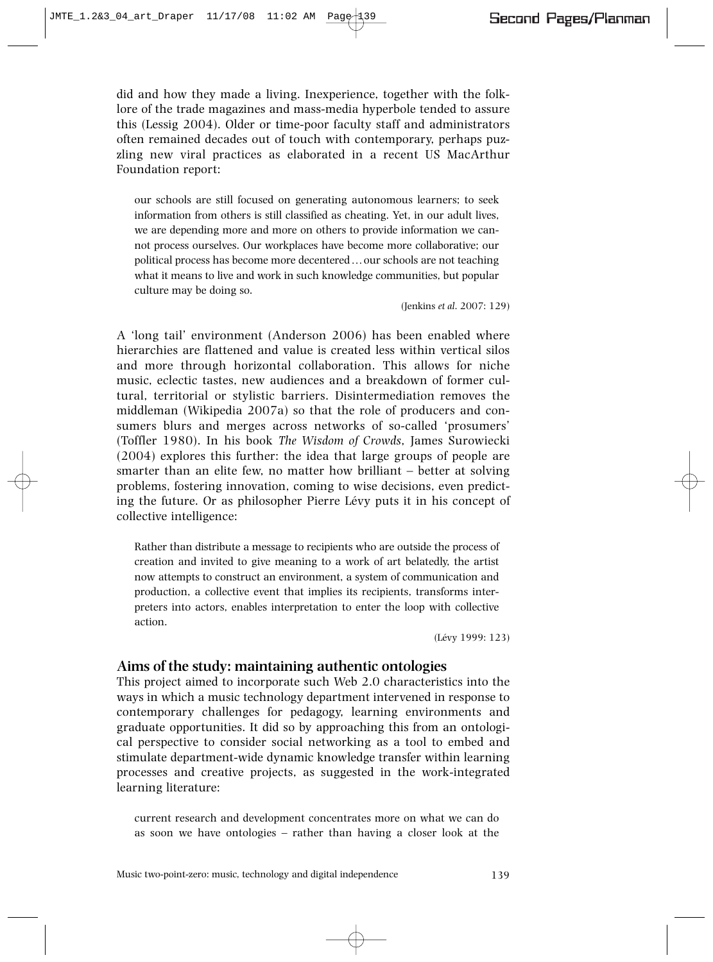did and how they made a living. Inexperience, together with the folklore of the trade magazines and mass-media hyperbole tended to assure this (Lessig 2004). Older or time-poor faculty staff and administrators often remained decades out of touch with contemporary, perhaps puzzling new viral practices as elaborated in a recent US MacArthur Foundation report:

our schools are still focused on generating autonomous learners; to seek information from others is still classified as cheating. Yet, in our adult lives, we are depending more and more on others to provide information we cannot process ourselves. Our workplaces have become more collaborative; our political process has become more decentered…our schools are not teaching what it means to live and work in such knowledge communities, but popular culture may be doing so.

(Jenkins *et al*. 2007: 129)

A 'long tail' environment (Anderson 2006) has been enabled where hierarchies are flattened and value is created less within vertical silos and more through horizontal collaboration. This allows for niche music, eclectic tastes, new audiences and a breakdown of former cultural, territorial or stylistic barriers. Disintermediation removes the middleman (Wikipedia 2007a) so that the role of producers and consumers blurs and merges across networks of so-called 'prosumers' (Toffler 1980). In his book *The Wisdom of Crowds*, James Surowiecki (2004) explores this further: the idea that large groups of people are smarter than an elite few, no matter how brilliant – better at solving problems, fostering innovation, coming to wise decisions, even predicting the future. Or as philosopher Pierre Lévy puts it in his concept of collective intelligence:

Rather than distribute a message to recipients who are outside the process of creation and invited to give meaning to a work of art belatedly, the artist now attempts to construct an environment, a system of communication and production, a collective event that implies its recipients, transforms interpreters into actors, enables interpretation to enter the loop with collective action.

(Lévy 1999: 123)

#### **Aims of the study: maintaining authentic ontologies**

This project aimed to incorporate such Web 2.0 characteristics into the ways in which a music technology department intervened in response to contemporary challenges for pedagogy, learning environments and graduate opportunities. It did so by approaching this from an ontological perspective to consider social networking as a tool to embed and stimulate department-wide dynamic knowledge transfer within learning processes and creative projects, as suggested in the work-integrated learning literature:

current research and development concentrates more on what we can do as soon we have ontologies – rather than having a closer look at the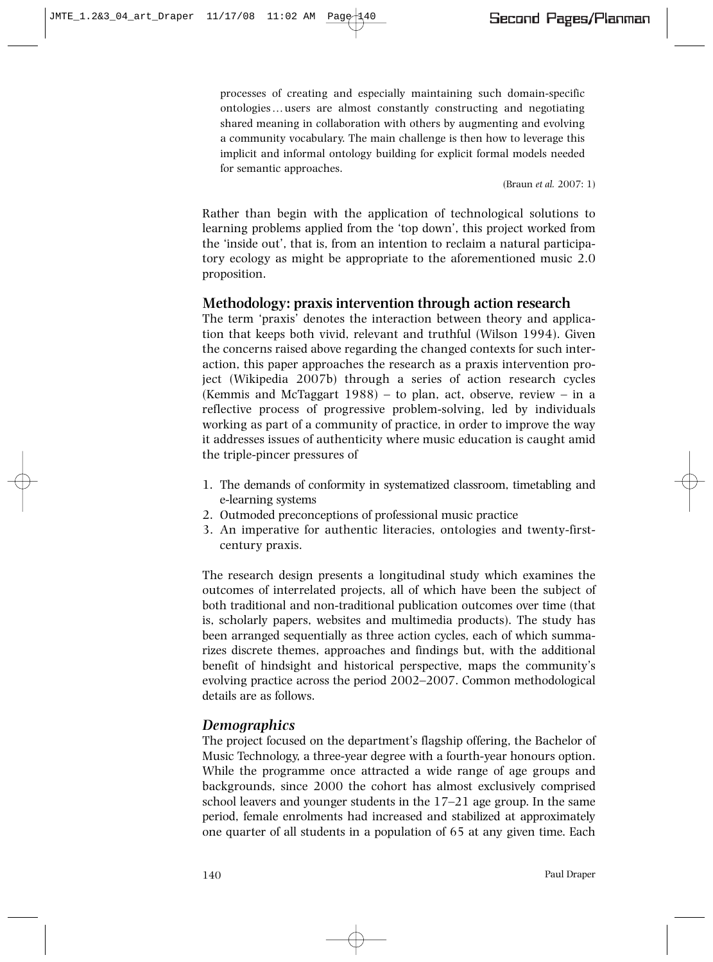processes of creating and especially maintaining such domain-specific ontologies…users are almost constantly constructing and negotiating shared meaning in collaboration with others by augmenting and evolving a community vocabulary. The main challenge is then how to leverage this implicit and informal ontology building for explicit formal models needed for semantic approaches.

(Braun *et al.* 2007: 1)

Rather than begin with the application of technological solutions to learning problems applied from the 'top down', this project worked from the 'inside out', that is, from an intention to reclaim a natural participatory ecology as might be appropriate to the aforementioned music 2.0 proposition.

#### **Methodology: praxis intervention through action research**

The term 'praxis' denotes the interaction between theory and application that keeps both vivid, relevant and truthful (Wilson 1994). Given the concerns raised above regarding the changed contexts for such interaction, this paper approaches the research as a praxis intervention project (Wikipedia 2007b) through a series of action research cycles (Kemmis and McTaggart  $1988$ ) – to plan, act, observe, review – in a reflective process of progressive problem-solving, led by individuals working as part of a community of practice, in order to improve the way it addresses issues of authenticity where music education is caught amid the triple-pincer pressures of

- 1. The demands of conformity in systematized classroom, timetabling and e-learning systems
- 2. Outmoded preconceptions of professional music practice
- 3. An imperative for authentic literacies, ontologies and twenty-firstcentury praxis.

The research design presents a longitudinal study which examines the outcomes of interrelated projects, all of which have been the subject of both traditional and non-traditional publication outcomes over time (that is, scholarly papers, websites and multimedia products). The study has been arranged sequentially as three action cycles, each of which summarizes discrete themes, approaches and findings but, with the additional benefit of hindsight and historical perspective, maps the community's evolving practice across the period 2002–2007. Common methodological details are as follows.

### *Demographics*

The project focused on the department's flagship offering, the Bachelor of Music Technology, a three-year degree with a fourth-year honours option. While the programme once attracted a wide range of age groups and backgrounds, since 2000 the cohort has almost exclusively comprised school leavers and younger students in the 17–21 age group. In the same period, female enrolments had increased and stabilized at approximately one quarter of all students in a population of 65 at any given time. Each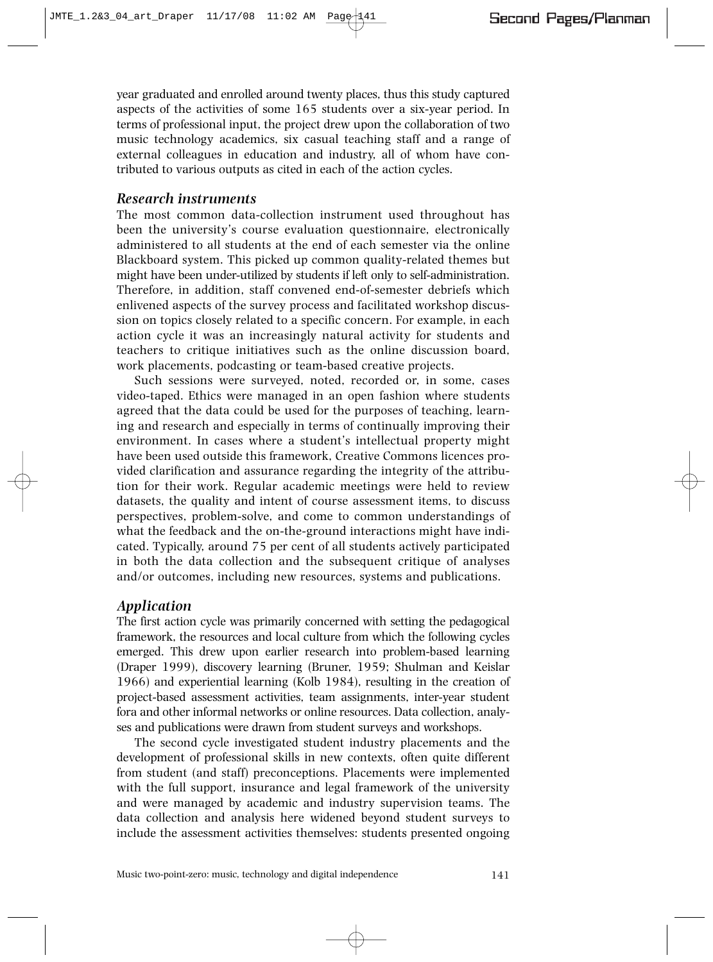year graduated and enrolled around twenty places, thus this study captured aspects of the activities of some 165 students over a six-year period. In terms of professional input, the project drew upon the collaboration of two music technology academics, six casual teaching staff and a range of external colleagues in education and industry, all of whom have contributed to various outputs as cited in each of the action cycles.

## *Research instruments*

The most common data-collection instrument used throughout has been the university's course evaluation questionnaire, electronically administered to all students at the end of each semester via the online Blackboard system. This picked up common quality-related themes but might have been under-utilized by students if left only to self-administration. Therefore, in addition, staff convened end-of-semester debriefs which enlivened aspects of the survey process and facilitated workshop discussion on topics closely related to a specific concern. For example, in each action cycle it was an increasingly natural activity for students and teachers to critique initiatives such as the online discussion board, work placements, podcasting or team-based creative projects.

Such sessions were surveyed, noted, recorded or, in some, cases video-taped. Ethics were managed in an open fashion where students agreed that the data could be used for the purposes of teaching, learning and research and especially in terms of continually improving their environment. In cases where a student's intellectual property might have been used outside this framework, Creative Commons licences provided clarification and assurance regarding the integrity of the attribution for their work. Regular academic meetings were held to review datasets, the quality and intent of course assessment items, to discuss perspectives, problem-solve, and come to common understandings of what the feedback and the on-the-ground interactions might have indicated. Typically, around 75 per cent of all students actively participated in both the data collection and the subsequent critique of analyses and/or outcomes, including new resources, systems and publications.

#### *Application*

The first action cycle was primarily concerned with setting the pedagogical framework, the resources and local culture from which the following cycles emerged. This drew upon earlier research into problem-based learning (Draper 1999), discovery learning (Bruner, 1959; Shulman and Keislar 1966) and experiential learning (Kolb 1984), resulting in the creation of project-based assessment activities, team assignments, inter-year student fora and other informal networks or online resources. Data collection, analyses and publications were drawn from student surveys and workshops.

The second cycle investigated student industry placements and the development of professional skills in new contexts, often quite different from student (and staff) preconceptions. Placements were implemented with the full support, insurance and legal framework of the university and were managed by academic and industry supervision teams. The data collection and analysis here widened beyond student surveys to include the assessment activities themselves: students presented ongoing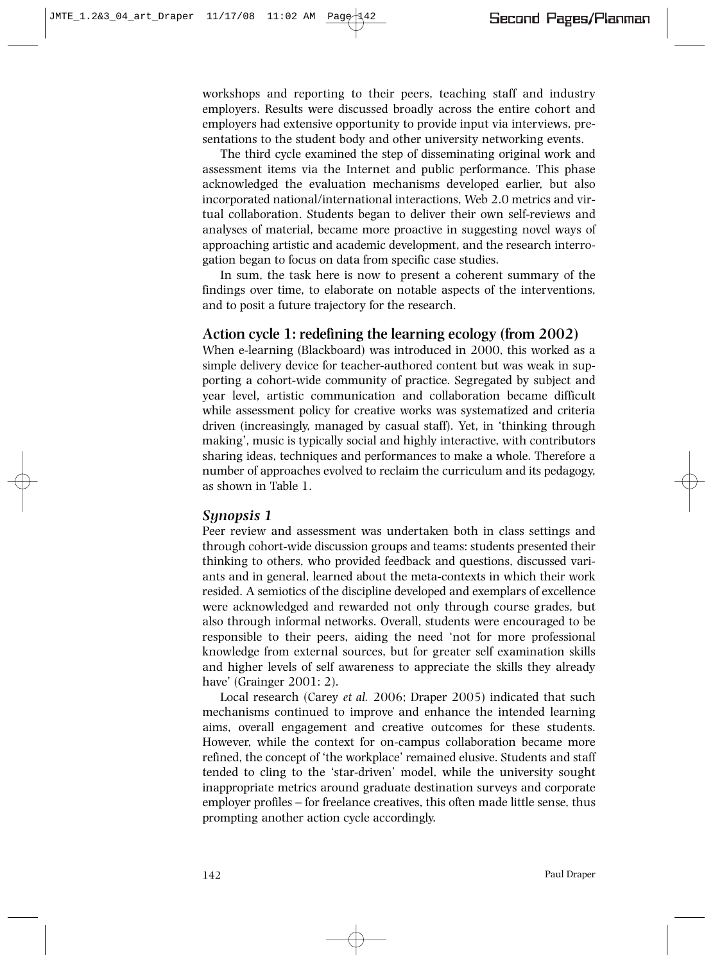workshops and reporting to their peers, teaching staff and industry employers. Results were discussed broadly across the entire cohort and employers had extensive opportunity to provide input via interviews, presentations to the student body and other university networking events.

The third cycle examined the step of disseminating original work and assessment items via the Internet and public performance. This phase acknowledged the evaluation mechanisms developed earlier, but also incorporated national/international interactions, Web 2.0 metrics and virtual collaboration. Students began to deliver their own self-reviews and analyses of material, became more proactive in suggesting novel ways of approaching artistic and academic development, and the research interrogation began to focus on data from specific case studies.

In sum, the task here is now to present a coherent summary of the findings over time, to elaborate on notable aspects of the interventions, and to posit a future trajectory for the research.

### **Action cycle 1: redefining the learning ecology (from 2002)**

When e-learning (Blackboard) was introduced in 2000, this worked as a simple delivery device for teacher-authored content but was weak in supporting a cohort-wide community of practice. Segregated by subject and year level, artistic communication and collaboration became difficult while assessment policy for creative works was systematized and criteria driven (increasingly, managed by casual staff). Yet, in 'thinking through making', music is typically social and highly interactive, with contributors sharing ideas, techniques and performances to make a whole. Therefore a number of approaches evolved to reclaim the curriculum and its pedagogy, as shown in Table 1.

### *Synopsis 1*

Peer review and assessment was undertaken both in class settings and through cohort-wide discussion groups and teams: students presented their thinking to others, who provided feedback and questions, discussed variants and in general, learned about the meta-contexts in which their work resided. A semiotics of the discipline developed and exemplars of excellence were acknowledged and rewarded not only through course grades, but also through informal networks. Overall, students were encouraged to be responsible to their peers, aiding the need 'not for more professional knowledge from external sources, but for greater self examination skills and higher levels of self awareness to appreciate the skills they already have' (Grainger 2001: 2).

Local research (Carey *et al.* 2006; Draper 2005) indicated that such mechanisms continued to improve and enhance the intended learning aims, overall engagement and creative outcomes for these students. However, while the context for on-campus collaboration became more refined, the concept of 'the workplace' remained elusive. Students and staff tended to cling to the 'star-driven' model, while the university sought inappropriate metrics around graduate destination surveys and corporate employer profiles – for freelance creatives, this often made little sense, thus prompting another action cycle accordingly.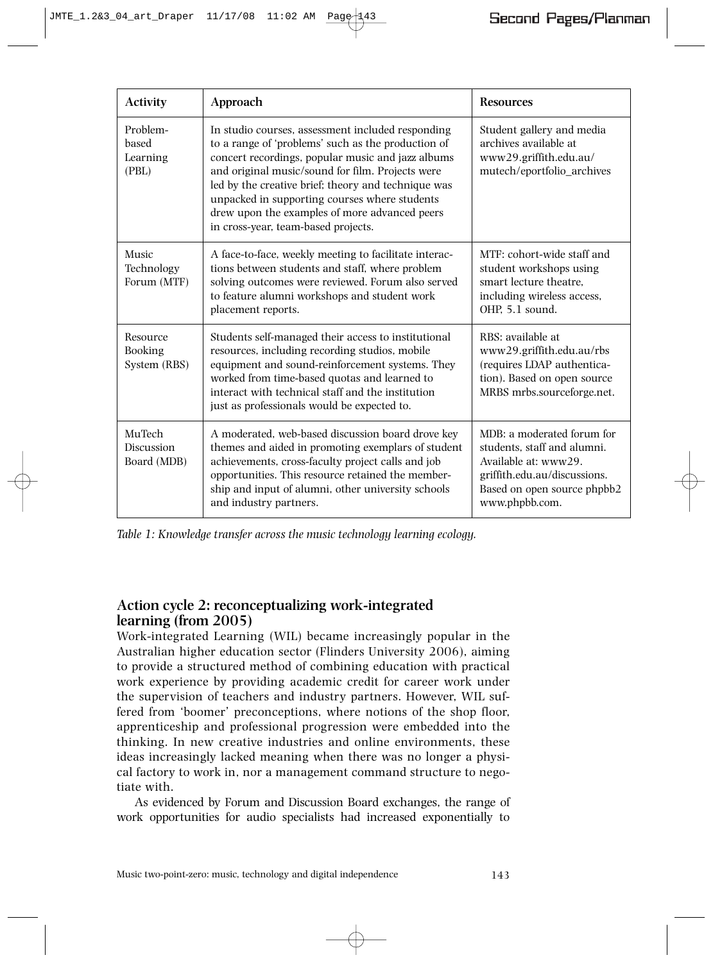| <b>Activity</b>                            | Approach                                                                                                                                                                                                                                                                                                                                                                                                         | <b>Resources</b>                                                                                                                                                   |
|--------------------------------------------|------------------------------------------------------------------------------------------------------------------------------------------------------------------------------------------------------------------------------------------------------------------------------------------------------------------------------------------------------------------------------------------------------------------|--------------------------------------------------------------------------------------------------------------------------------------------------------------------|
| Problem-<br>based<br>Learning<br>(PBL)     | In studio courses, assessment included responding<br>to a range of 'problems' such as the production of<br>concert recordings, popular music and jazz albums<br>and original music/sound for film. Projects were<br>led by the creative brief; theory and technique was<br>unpacked in supporting courses where students<br>drew upon the examples of more advanced peers<br>in cross-year, team-based projects. | Student gallery and media<br>archives available at<br>www29.griffith.edu.au/<br>mutech/eportfolio_archives                                                         |
| Music<br>Technology<br>Forum (MTF)         | A face-to-face, weekly meeting to facilitate interac-<br>tions between students and staff, where problem<br>solving outcomes were reviewed. Forum also served<br>to feature alumni workshops and student work<br>placement reports.                                                                                                                                                                              | MTF: cohort-wide staff and<br>student workshops using<br>smart lecture theatre.<br>including wireless access,<br>OHP, 5.1 sound.                                   |
| Resource<br><b>Booking</b><br>System (RBS) | Students self-managed their access to institutional<br>resources, including recording studios, mobile<br>equipment and sound-reinforcement systems. They<br>worked from time-based quotas and learned to<br>interact with technical staff and the institution<br>just as professionals would be expected to.                                                                                                     | RBS: available at<br>www29.griffith.edu.au/rbs<br>(requires LDAP authentica-<br>tion). Based on open source<br>MRBS mrbs.sourceforge.net.                          |
| MuTech<br><b>Discussion</b><br>Board (MDB) | A moderated, web-based discussion board drove key<br>themes and aided in promoting exemplars of student<br>achievements, cross-faculty project calls and job<br>opportunities. This resource retained the member-<br>ship and input of alumni, other university schools<br>and industry partners.                                                                                                                | MDB: a moderated forum for<br>students, staff and alumni.<br>Available at: www29.<br>griffith.edu.au/discussions.<br>Based on open source phpbb2<br>www.phpbb.com. |

*Table 1: Knowledge transfer across the music technology learning ecology.*

# **Action cycle 2: reconceptualizing work-integrated learning (from 2005)**

Work-integrated Learning (WIL) became increasingly popular in the Australian higher education sector (Flinders University 2006), aiming to provide a structured method of combining education with practical work experience by providing academic credit for career work under the supervision of teachers and industry partners. However, WIL suffered from 'boomer' preconceptions, where notions of the shop floor, apprenticeship and professional progression were embedded into the thinking. In new creative industries and online environments, these ideas increasingly lacked meaning when there was no longer a physical factory to work in, nor a management command structure to negotiate with.

As evidenced by Forum and Discussion Board exchanges, the range of work opportunities for audio specialists had increased exponentially to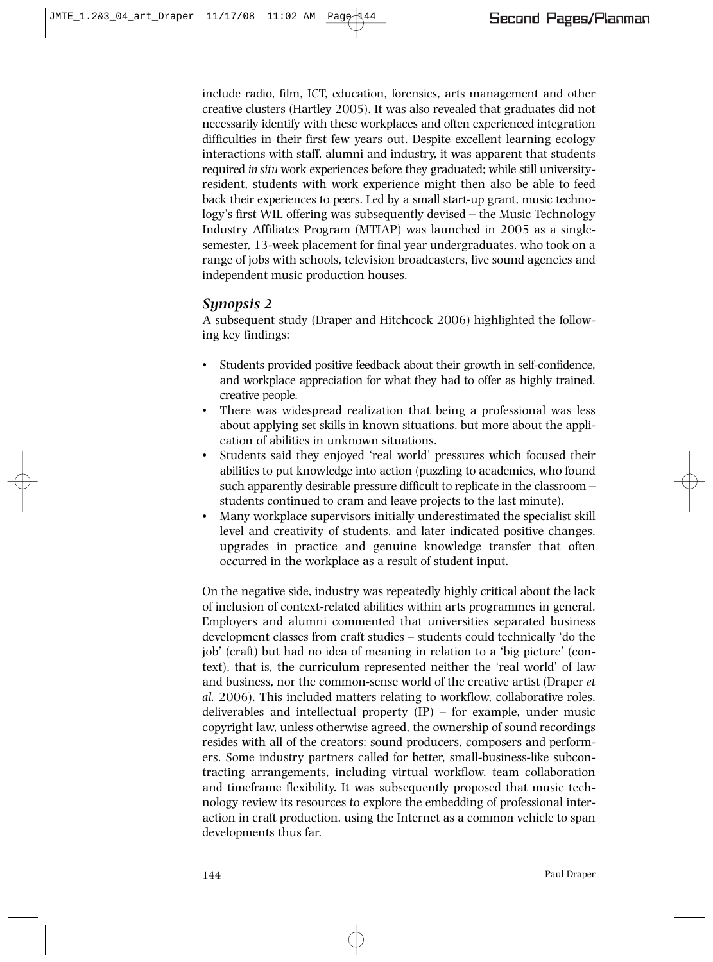include radio, film, ICT, education, forensics, arts management and other creative clusters (Hartley 2005). It was also revealed that graduates did not necessarily identify with these workplaces and often experienced integration difficulties in their first few years out. Despite excellent learning ecology interactions with staff, alumni and industry, it was apparent that students required *in situ* work experiences before they graduated; while still universityresident, students with work experience might then also be able to feed back their experiences to peers. Led by a small start-up grant, music technology's first WIL offering was subsequently devised – the Music Technology Industry Affiliates Program (MTIAP) was launched in 2005 as a singlesemester, 13-week placement for final year undergraduates, who took on a range of jobs with schools, television broadcasters, live sound agencies and independent music production houses.

## *Synopsis 2*

A subsequent study (Draper and Hitchcock 2006) highlighted the following key findings:

- Students provided positive feedback about their growth in self-confidence, and workplace appreciation for what they had to offer as highly trained, creative people.
- There was widespread realization that being a professional was less about applying set skills in known situations, but more about the application of abilities in unknown situations.
- Students said they enjoyed 'real world' pressures which focused their abilities to put knowledge into action (puzzling to academics, who found such apparently desirable pressure difficult to replicate in the classroom – students continued to cram and leave projects to the last minute).
- Many workplace supervisors initially underestimated the specialist skill level and creativity of students, and later indicated positive changes, upgrades in practice and genuine knowledge transfer that often occurred in the workplace as a result of student input.

On the negative side, industry was repeatedly highly critical about the lack of inclusion of context-related abilities within arts programmes in general. Employers and alumni commented that universities separated business development classes from craft studies – students could technically 'do the job' (craft) but had no idea of meaning in relation to a 'big picture' (context), that is, the curriculum represented neither the 'real world' of law and business, nor the common-sense world of the creative artist (Draper *et al.* 2006). This included matters relating to workflow, collaborative roles, deliverables and intellectual property  $(IP)$  – for example, under music copyright law, unless otherwise agreed, the ownership of sound recordings resides with all of the creators: sound producers, composers and performers. Some industry partners called for better, small-business-like subcontracting arrangements, including virtual workflow, team collaboration and timeframe flexibility. It was subsequently proposed that music technology review its resources to explore the embedding of professional interaction in craft production, using the Internet as a common vehicle to span developments thus far.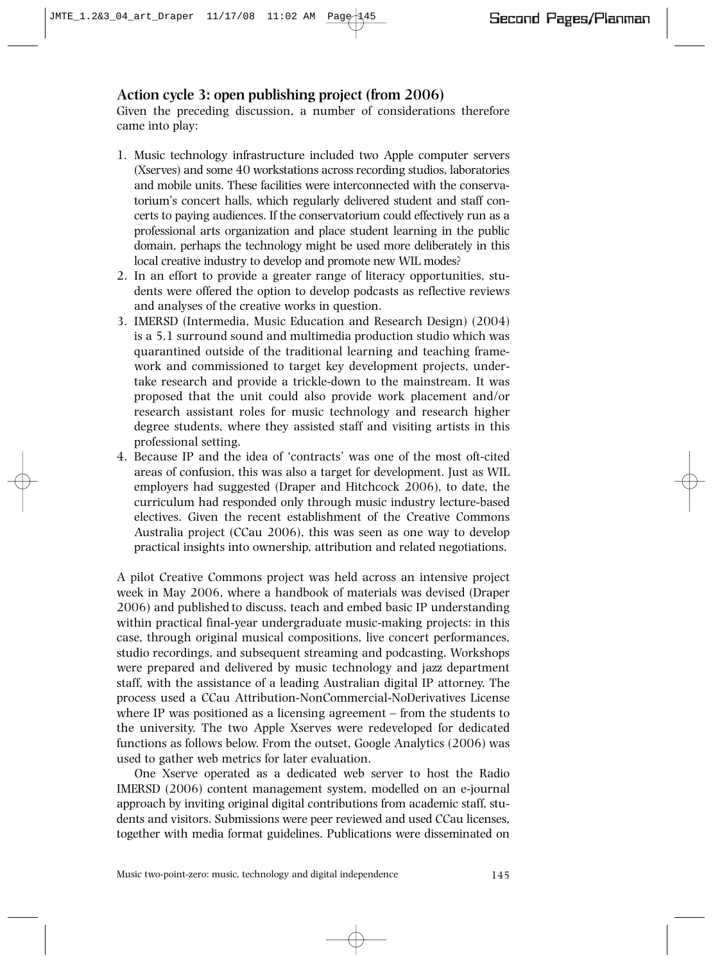## **Action cycle 3: open publishing project (from 2006)**

Given the preceding discussion, a number of considerations therefore came into play:

- 1. Music technology infrastructure included two Apple computer servers (Xserves) and some 40 workstations across recording studios, laboratories and mobile units. These facilities were interconnected with the conservatorium's concert halls, which regularly delivered student and staff concerts to paying audiences. If the conservatorium could effectively run as a professional arts organization and place student learning in the public domain, perhaps the technology might be used more deliberately in this local creative industry to develop and promote new WIL modes?
- 2. In an effort to provide a greater range of literacy opportunities, students were offered the option to develop podcasts as reflective reviews and analyses of the creative works in question.
- 3. IMERSD (Intermedia, Music Education and Research Design) (2004) is a 5.1 surround sound and multimedia production studio which was quarantined outside of the traditional learning and teaching framework and commissioned to target key development projects, undertake research and provide a trickle-down to the mainstream. It was proposed that the unit could also provide work placement and/or research assistant roles for music technology and research higher degree students, where they assisted staff and visiting artists in this professional setting.
- 4. Because IP and the idea of 'contracts' was one of the most oft-cited areas of confusion, this was also a target for development. Just as WIL employers had suggested (Draper and Hitchcock 2006), to date, the curriculum had responded only through music industry lecture-based electives. Given the recent establishment of the Creative Commons Australia project (CCau 2006), this was seen as one way to develop practical insights into ownership, attribution and related negotiations.

A pilot Creative Commons project was held across an intensive project week in May 2006, where a handbook of materials was devised (Draper 2006) and published to discuss, teach and embed basic IP understanding within practical final-year undergraduate music-making projects: in this case, through original musical compositions, live concert performances, studio recordings, and subsequent streaming and podcasting. Workshops were prepared and delivered by music technology and jazz department staff, with the assistance of a leading Australian digital IP attorney. The process used a CCau Attribution-NonCommercial-NoDerivatives License where IP was positioned as a licensing agreement – from the students to the university. The two Apple Xserves were redeveloped for dedicated functions as follows below. From the outset, Google Analytics (2006) was used to gather web metrics for later evaluation.

One Xserve operated as a dedicated web server to host the Radio IMERSD (2006) content management system, modelled on an e-journal approach by inviting original digital contributions from academic staff, students and visitors. Submissions were peer reviewed and used CCau licenses, together with media format guidelines. Publications were disseminated on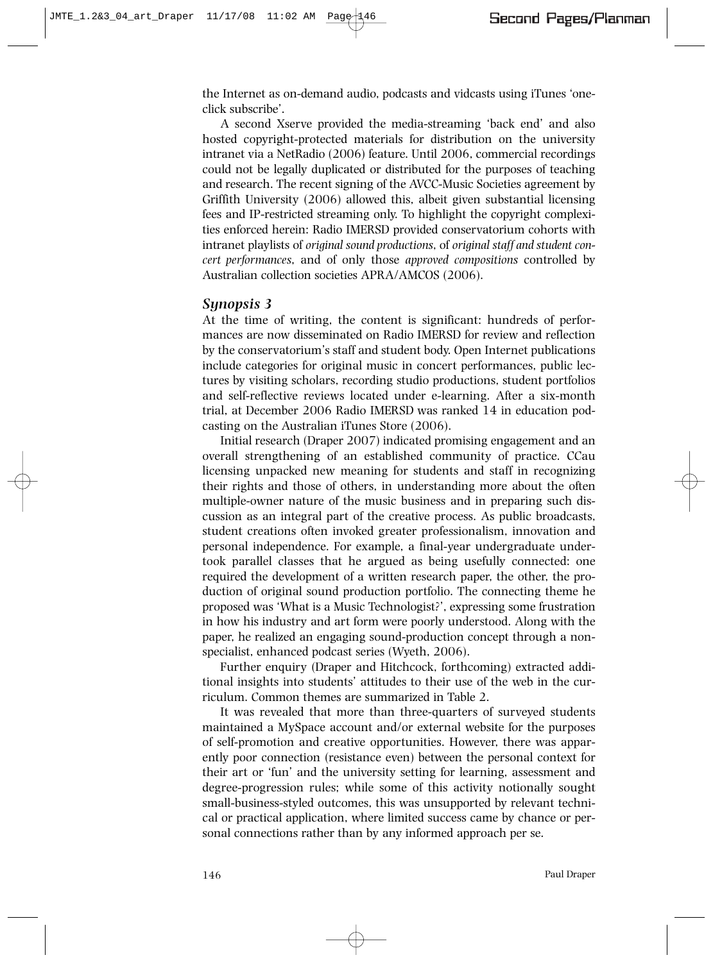the Internet as on-demand audio, podcasts and vidcasts using iTunes 'oneclick subscribe'.

A second Xserve provided the media-streaming 'back end' and also hosted copyright-protected materials for distribution on the university intranet via a NetRadio (2006) feature. Until 2006, commercial recordings could not be legally duplicated or distributed for the purposes of teaching and research. The recent signing of the AVCC-Music Societies agreement by Griffith University (2006) allowed this, albeit given substantial licensing fees and IP-restricted streaming only. To highlight the copyright complexities enforced herein: Radio IMERSD provided conservatorium cohorts with intranet playlists of *original sound productions*, of *original staff and student concert performances*, and of only those *approved compositions* controlled by Australian collection societies APRA/AMCOS (2006).

#### *Synopsis 3*

At the time of writing, the content is significant: hundreds of performances are now disseminated on Radio IMERSD for review and reflection by the conservatorium's staff and student body. Open Internet publications include categories for original music in concert performances, public lectures by visiting scholars, recording studio productions, student portfolios and self-reflective reviews located under e-learning. After a six-month trial, at December 2006 Radio IMERSD was ranked 14 in education podcasting on the Australian iTunes Store (2006).

Initial research (Draper 2007) indicated promising engagement and an overall strengthening of an established community of practice. CCau licensing unpacked new meaning for students and staff in recognizing their rights and those of others, in understanding more about the often multiple-owner nature of the music business and in preparing such discussion as an integral part of the creative process. As public broadcasts, student creations often invoked greater professionalism, innovation and personal independence. For example, a final-year undergraduate undertook parallel classes that he argued as being usefully connected: one required the development of a written research paper, the other, the production of original sound production portfolio. The connecting theme he proposed was 'What is a Music Technologist?', expressing some frustration in how his industry and art form were poorly understood. Along with the paper, he realized an engaging sound-production concept through a nonspecialist, enhanced podcast series (Wyeth, 2006).

Further enquiry (Draper and Hitchcock, forthcoming) extracted additional insights into students' attitudes to their use of the web in the curriculum. Common themes are summarized in Table 2.

It was revealed that more than three-quarters of surveyed students maintained a MySpace account and/or external website for the purposes of self-promotion and creative opportunities. However, there was apparently poor connection (resistance even) between the personal context for their art or 'fun' and the university setting for learning, assessment and degree-progression rules; while some of this activity notionally sought small-business-styled outcomes, this was unsupported by relevant technical or practical application, where limited success came by chance or personal connections rather than by any informed approach per se.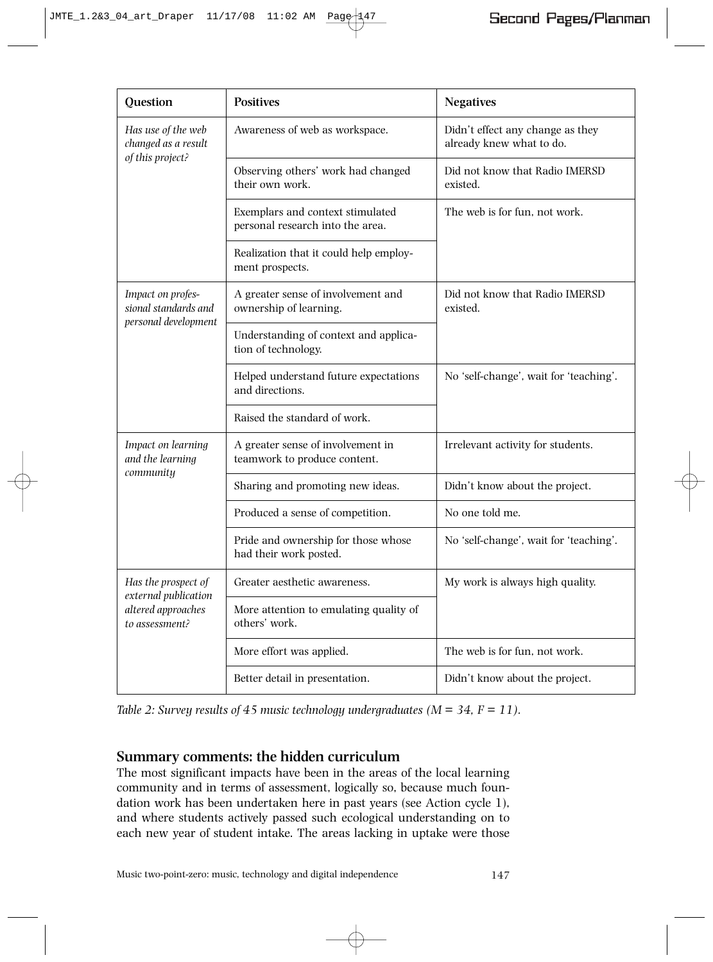| Question                                                          | <b>Positives</b>                                                     | <b>Negatives</b>                                             |
|-------------------------------------------------------------------|----------------------------------------------------------------------|--------------------------------------------------------------|
| Has use of the web<br>changed as a result<br>of this project?     | Awareness of web as workspace.                                       | Didn't effect any change as they<br>already knew what to do. |
|                                                                   | Observing others' work had changed<br>their own work.                | Did not know that Radio IMERSD<br>existed.                   |
|                                                                   | Exemplars and context stimulated<br>personal research into the area. | The web is for fun, not work.                                |
|                                                                   | Realization that it could help employ-<br>ment prospects.            |                                                              |
| Impact on profes-<br>sional standards and<br>personal development | A greater sense of involvement and<br>ownership of learning.         | Did not know that Radio IMERSD<br>existed.                   |
|                                                                   | Understanding of context and applica-<br>tion of technology.         |                                                              |
|                                                                   | Helped understand future expectations<br>and directions.             | No 'self-change', wait for 'teaching'.                       |
|                                                                   | Raised the standard of work.                                         |                                                              |
| Impact on learning<br>and the learning<br>community               | A greater sense of involvement in<br>teamwork to produce content.    | Irrelevant activity for students.                            |
|                                                                   | Sharing and promoting new ideas.                                     | Didn't know about the project.                               |
|                                                                   | Produced a sense of competition.                                     | No one told me.                                              |
|                                                                   | Pride and ownership for those whose<br>had their work posted.        | No 'self-change', wait for 'teaching'.                       |
| Has the prospect of                                               | Greater aesthetic awareness.                                         | My work is always high quality.                              |
| external publication<br>altered approaches<br>to assessment?      | More attention to emulating quality of<br>others' work.              |                                                              |
|                                                                   | More effort was applied.                                             | The web is for fun, not work.                                |
|                                                                   | Better detail in presentation.                                       | Didn't know about the project.                               |

*Table 2: Survey results of 45 music technology undergraduates (M = 34, F = 11).*

# **Summary comments: the hidden curriculum**

The most significant impacts have been in the areas of the local learning community and in terms of assessment, logically so, because much foundation work has been undertaken here in past years (see Action cycle 1), and where students actively passed such ecological understanding on to each new year of student intake. The areas lacking in uptake were those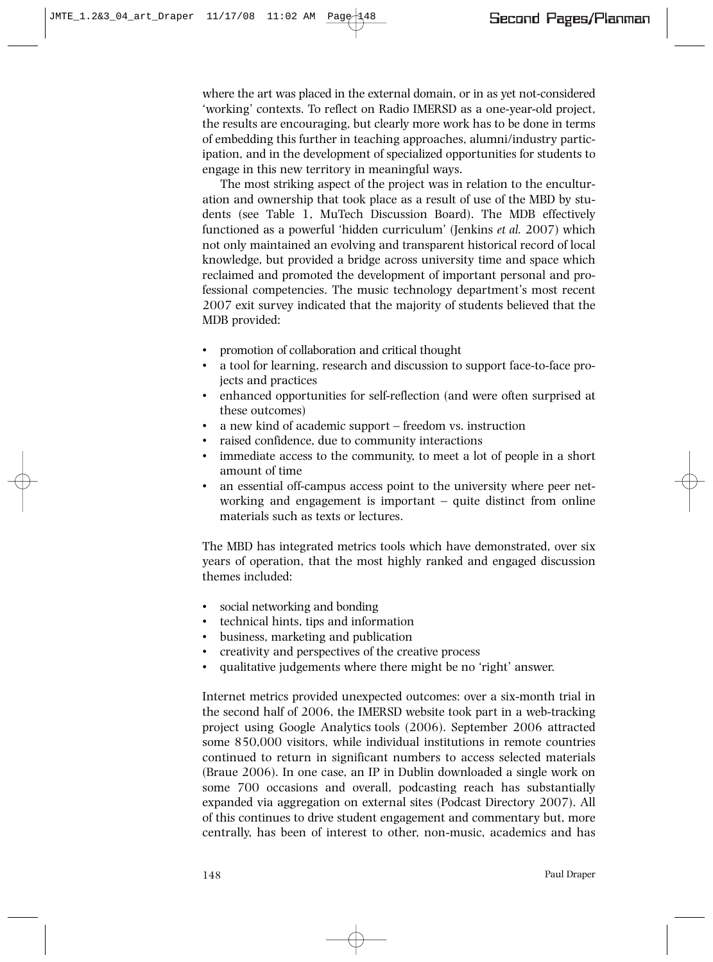where the art was placed in the external domain, or in as yet not-considered 'working' contexts. To reflect on Radio IMERSD as a one-year-old project, the results are encouraging, but clearly more work has to be done in terms of embedding this further in teaching approaches, alumni/industry participation, and in the development of specialized opportunities for students to engage in this new territory in meaningful ways.

The most striking aspect of the project was in relation to the enculturation and ownership that took place as a result of use of the MBD by students (see Table 1, MuTech Discussion Board). The MDB effectively functioned as a powerful 'hidden curriculum' (Jenkins *et al.* 2007) which not only maintained an evolving and transparent historical record of local knowledge, but provided a bridge across university time and space which reclaimed and promoted the development of important personal and professional competencies. The music technology department's most recent 2007 exit survey indicated that the majority of students believed that the MDB provided:

- promotion of collaboration and critical thought
- a tool for learning, research and discussion to support face-to-face projects and practices
- enhanced opportunities for self-reflection (and were often surprised at these outcomes)
- a new kind of academic support freedom vs. instruction
- raised confidence, due to community interactions
- immediate access to the community, to meet a lot of people in a short amount of time
- an essential off-campus access point to the university where peer networking and engagement is important – quite distinct from online materials such as texts or lectures.

The MBD has integrated metrics tools which have demonstrated, over six years of operation, that the most highly ranked and engaged discussion themes included:

- social networking and bonding
- technical hints, tips and information
- business, marketing and publication
- creativity and perspectives of the creative process
- qualitative judgements where there might be no 'right' answer.

Internet metrics provided unexpected outcomes: over a six-month trial in the second half of 2006, the IMERSD website took part in a web-tracking project using Google Analytics tools (2006). September 2006 attracted some 850,000 visitors, while individual institutions in remote countries continued to return in significant numbers to access selected materials (Braue 2006). In one case, an IP in Dublin downloaded a single work on some 700 occasions and overall, podcasting reach has substantially expanded via aggregation on external sites (Podcast Directory 2007). All of this continues to drive student engagement and commentary but, more centrally, has been of interest to other, non-music, academics and has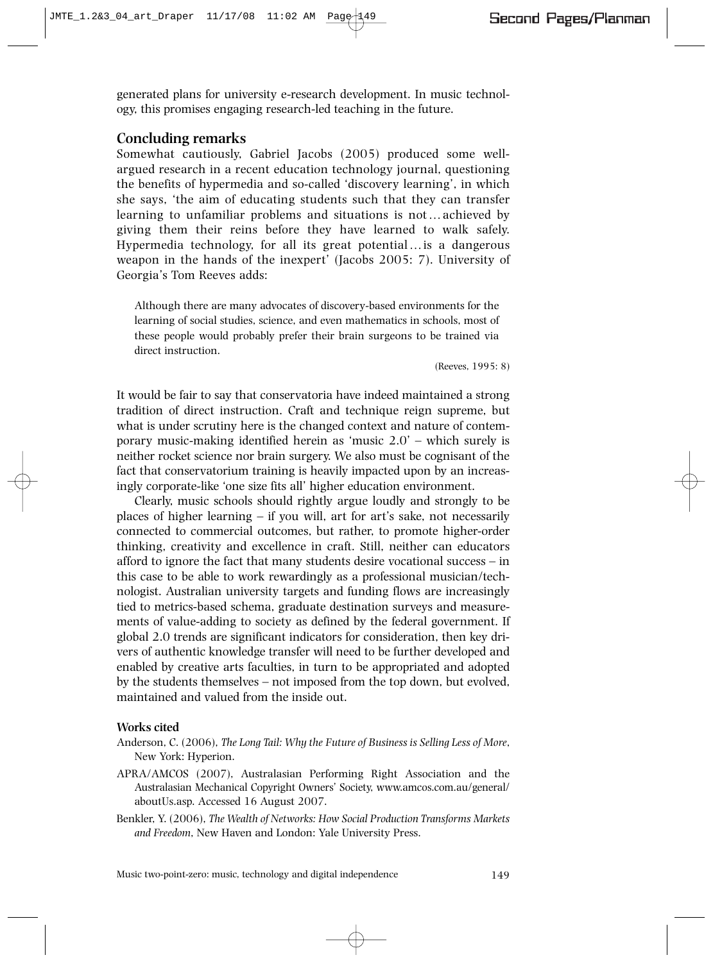generated plans for university e-research development. In music technology, this promises engaging research-led teaching in the future.

#### **Concluding remarks**

Somewhat cautiously, Gabriel Jacobs (2005) produced some wellargued research in a recent education technology journal, questioning the benefits of hypermedia and so-called 'discovery learning', in which she says, 'the aim of educating students such that they can transfer learning to unfamiliar problems and situations is not…achieved by giving them their reins before they have learned to walk safely. Hypermedia technology, for all its great potential…is a dangerous weapon in the hands of the inexpert' (Jacobs 2005: 7). University of Georgia's Tom Reeves adds:

Although there are many advocates of discovery-based environments for the learning of social studies, science, and even mathematics in schools, most of these people would probably prefer their brain surgeons to be trained via direct instruction.

(Reeves, 1995: 8)

It would be fair to say that conservatoria have indeed maintained a strong tradition of direct instruction. Craft and technique reign supreme, but what is under scrutiny here is the changed context and nature of contemporary music-making identified herein as 'music 2.0' – which surely is neither rocket science nor brain surgery. We also must be cognisant of the fact that conservatorium training is heavily impacted upon by an increasingly corporate-like 'one size fits all' higher education environment.

Clearly, music schools should rightly argue loudly and strongly to be places of higher learning – if you will, art for art's sake, not necessarily connected to commercial outcomes, but rather, to promote higher-order thinking, creativity and excellence in craft. Still, neither can educators afford to ignore the fact that many students desire vocational success – in this case to be able to work rewardingly as a professional musician/technologist. Australian university targets and funding flows are increasingly tied to metrics-based schema, graduate destination surveys and measurements of value-adding to society as defined by the federal government. If global 2.0 trends are significant indicators for consideration, then key drivers of authentic knowledge transfer will need to be further developed and enabled by creative arts faculties, in turn to be appropriated and adopted by the students themselves – not imposed from the top down, but evolved, maintained and valued from the inside out.

#### **Works cited**

Anderson, C. (2006), *The Long Tail: Why the Future of Business is Selling Less of More*, New York: Hyperion.

- APRA/AMCOS (2007), Australasian Performing Right Association and the Australasian Mechanical Copyright Owners' Society, www.amcos.com.au/general/ aboutUs.asp. Accessed 16 August 2007.
- Benkler, Y. (2006), *The Wealth of Networks: How Social Production Transforms Markets and Freedom*, New Haven and London: Yale University Press.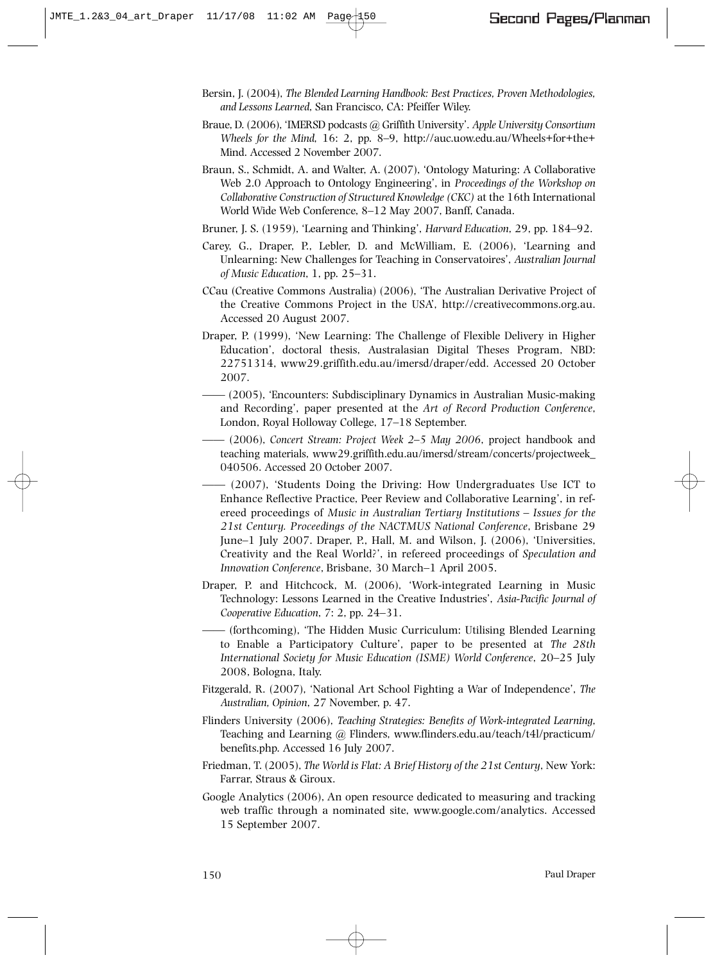- Bersin, J. (2004), *The Blended Learning Handbook: Best Practices, Proven Methodologies, and Lessons Learned*, San Francisco, CA: Pfeiffer Wiley.
- Braue, D. (2006), 'IMERSD podcasts @ Griffith University'. *Apple University Consortium Wheels for the Mind*, 16: 2, pp. 8–9, http://auc.uow.edu.au/Wheels+for+the+ Mind. Accessed 2 November 2007.
- Braun, S., Schmidt, A. and Walter, A. (2007), 'Ontology Maturing: A Collaborative Web 2.0 Approach to Ontology Engineering', in *Proceedings of the Workshop on Collaborative Construction of Structured Knowledge (CKC)* at the 16th International World Wide Web Conference, 8–12 May 2007, Banff, Canada.
- Bruner, J. S. (1959), 'Learning and Thinking', *Harvard Education*, 29, pp. 184–92.
- Carey, G., Draper, P., Lebler, D. and McWilliam, E. (2006), 'Learning and Unlearning: New Challenges for Teaching in Conservatoires', *Australian Journal of Music Education*, 1, pp. 25–31.
- CCau (Creative Commons Australia) (2006), 'The Australian Derivative Project of the Creative Commons Project in the USA', http://creativecommons.org.au. Accessed 20 August 2007.
- Draper, P. (1999), 'New Learning: The Challenge of Flexible Delivery in Higher Education', doctoral thesis, Australasian Digital Theses Program, NBD: 22751314, www29.griffith.edu.au/imersd/draper/edd. Accessed 20 October 2007.
- —— (2005), 'Encounters: Subdisciplinary Dynamics in Australian Music-making and Recording', paper presented at the *Art of Record Production Conference*, London, Royal Holloway College, 17–18 September.
- —— (2006), *Concert Stream: Project Week 2–5 May 2006*, project handbook and teaching materials, www29.griffith.edu.au/imersd/stream/concerts/projectweek\_ 040506. Accessed 20 October 2007.
- $-$  (2007), 'Students Doing the Driving: How Undergraduates Use ICT to Enhance Reflective Practice, Peer Review and Collaborative Learning', in refereed proceedings of *Music in Australian Tertiary Institutions – Issues for the 21st Century. Proceedings of the NACTMUS National Conference*, Brisbane 29 June–1 July 2007. Draper, P., Hall, M. and Wilson, J. (2006), 'Universities, Creativity and the Real World?', in refereed proceedings of *Speculation and Innovation Conference*, Brisbane, 30 March–1 April 2005.
- Draper, P. and Hitchcock, M. (2006), 'Work-integrated Learning in Music Technology: Lessons Learned in the Creative Industries', *Asia-Pacific Journal of Cooperative Education*, 7: 2, pp. 24–31.
- —— (forthcoming), 'The Hidden Music Curriculum: Utilising Blended Learning to Enable a Participatory Culture', paper to be presented at *The 28th International Society for Music Education (ISME) World Conference*, 20–25 July 2008, Bologna, Italy.
- Fitzgerald, R. (2007), 'National Art School Fighting a War of Independence', *The Australian, Opinion*, 27 November, p. 47.
- Flinders University (2006), *Teaching Strategies: Benefits of Work-integrated Learning*, Teaching and Learning @ Flinders, www.flinders.edu.au/teach/t4l/practicum/ benefits.php. Accessed 16 July 2007.
- Friedman, T. (2005), *The World is Flat: A Brief History of the 21st Century*, New York: Farrar, Straus & Giroux.
- Google Analytics (2006), An open resource dedicated to measuring and tracking web traffic through a nominated site, www.google.com/analytics. Accessed 15 September 2007.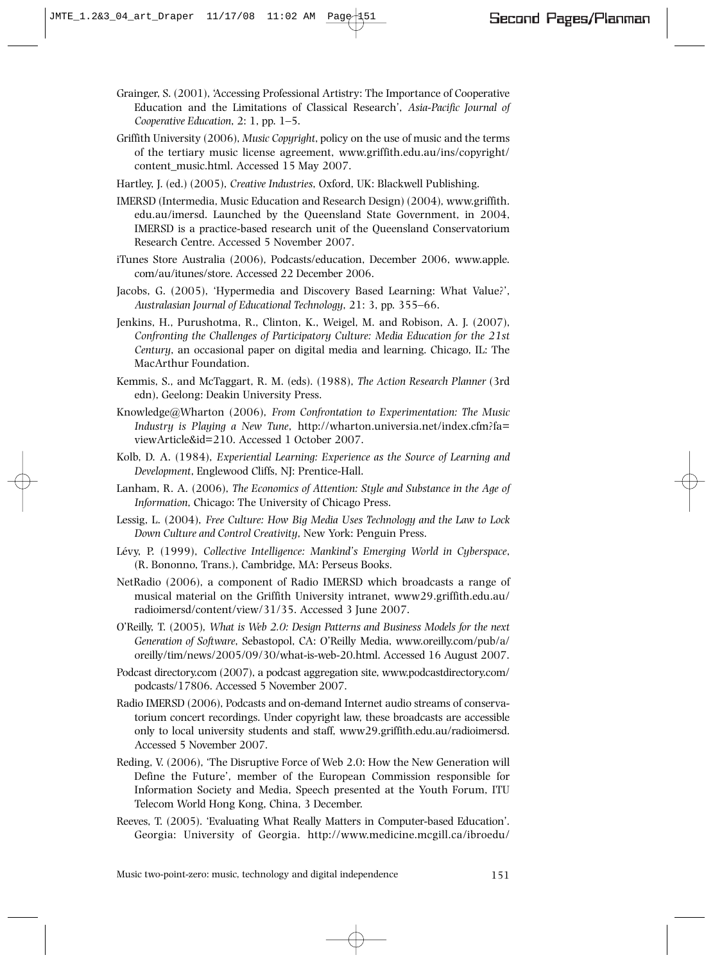- Grainger, S. (2001), 'Accessing Professional Artistry: The Importance of Cooperative Education and the Limitations of Classical Research', *Asia-Pacific Journal of Cooperative Education*, 2: 1, pp. 1–5.
- Griffith University (2006), *Music Copyright*, policy on the use of music and the terms of the tertiary music license agreement, www.griffith.edu.au/ins/copyright/ content\_music.html. Accessed 15 May 2007.
- Hartley, J. (ed.) (2005), *Creative Industries*, Oxford, UK: Blackwell Publishing.
- IMERSD (Intermedia, Music Education and Research Design) (2004), www.griffith. edu.au/imersd. Launched by the Queensland State Government, in 2004, IMERSD is a practice-based research unit of the Queensland Conservatorium Research Centre. Accessed 5 November 2007.
- iTunes Store Australia (2006), Podcasts/education, December 2006, www.apple. com/au/itunes/store. Accessed 22 December 2006.
- Jacobs, G. (2005), 'Hypermedia and Discovery Based Learning: What Value?', *Australasian Journal of Educational Technology*, 21: 3, pp. 355–66.
- Jenkins, H., Purushotma, R., Clinton, K., Weigel, M. and Robison, A. J. (2007), *Confronting the Challenges of Participatory Culture: Media Education for the 21st Century*, an occasional paper on digital media and learning. Chicago, IL: The MacArthur Foundation.
- Kemmis, S., and McTaggart, R. M. (eds). (1988), *The Action Research Planner* (3rd edn), Geelong: Deakin University Press.
- Knowledge@Wharton (2006), *From Confrontation to Experimentation: The Music Industry is Playing a New Tune*, http://wharton.universia.net/index.cfm?fa= viewArticle&id=210. Accessed 1 October 2007.
- Kolb, D. A. (1984), *Experiential Learning: Experience as the Source of Learning and Development*, Englewood Cliffs, NJ: Prentice-Hall.
- Lanham, R. A. (2006), *The Economics of Attention: Style and Substance in the Age of Information*, Chicago: The University of Chicago Press.
- Lessig, L. (2004), *Free Culture: How Big Media Uses Technology and the Law to Lock Down Culture and Control Creativity*, New York: Penguin Press.
- Lévy, P. (1999), *Collective Intelligence: Mankind's Emerging World in Cyberspace*, (R. Bononno, Trans.), Cambridge, MA: Perseus Books.
- NetRadio (2006), a component of Radio IMERSD which broadcasts a range of musical material on the Griffith University intranet, www29.griffith.edu.au/ radioimersd/content/view/31/35. Accessed 3 June 2007.
- O'Reilly, T. (2005), *What is Web 2.0: Design Patterns and Business Models for the next Generation of Software*, Sebastopol, CA: O'Reilly Media, www.oreilly.com/pub/a/ oreilly/tim/news/2005/09/30/what-is-web-20.html. Accessed 16 August 2007.
- Podcast directory.com (2007), a podcast aggregation site, www.podcastdirectory.com/ podcasts/17806. Accessed 5 November 2007.
- Radio IMERSD (2006), Podcasts and on-demand Internet audio streams of conservatorium concert recordings. Under copyright law, these broadcasts are accessible only to local university students and staff, www29.griffith.edu.au/radioimersd. Accessed 5 November 2007.
- Reding, V. (2006), 'The Disruptive Force of Web 2.0: How the New Generation will Define the Future', member of the European Commission responsible for Information Society and Media, Speech presented at the Youth Forum, ITU Telecom World Hong Kong, China, 3 December.
- Reeves, T. (2005). 'Evaluating What Really Matters in Computer-based Education'. Georgia: University of Georgia. http://www.medicine.mcgill.ca/ibroedu/